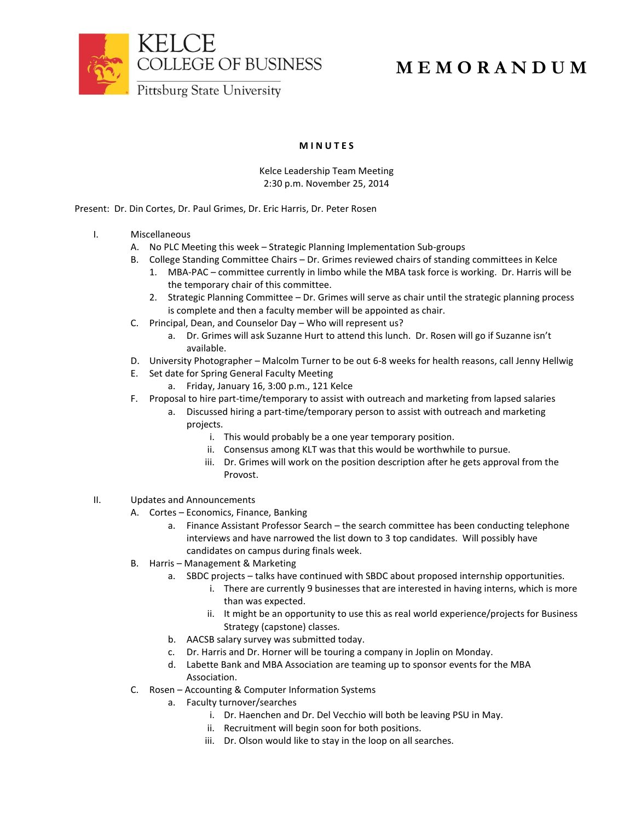

## **M I N U T E S**

Kelce Leadership Team Meeting 2:30 p.m. November 25, 2014

Present: Dr. Din Cortes, Dr. Paul Grimes, Dr. Eric Harris, Dr. Peter Rosen

- I. Miscellaneous
	- A. No PLC Meeting this week Strategic Planning Implementation Sub-groups
	- B. College Standing Committee Chairs Dr. Grimes reviewed chairs of standing committees in Kelce
		- 1. MBA-PAC committee currently in limbo while the MBA task force is working. Dr. Harris will be the temporary chair of this committee.
		- 2. Strategic Planning Committee Dr. Grimes will serve as chair until the strategic planning process is complete and then a faculty member will be appointed as chair.
	- C. Principal, Dean, and Counselor Day Who will represent us?
		- a. Dr. Grimes will ask Suzanne Hurt to attend this lunch. Dr. Rosen will go if Suzanne isn't available.
	- D. University Photographer Malcolm Turner to be out 6-8 weeks for health reasons, call Jenny Hellwig
	- E. Set date for Spring General Faculty Meeting
		- a. Friday, January 16, 3:00 p.m., 121 Kelce
	- F. Proposal to hire part-time/temporary to assist with outreach and marketing from lapsed salaries
		- a. Discussed hiring a part-time/temporary person to assist with outreach and marketing projects.
			- i. This would probably be a one year temporary position.
			- ii. Consensus among KLT was that this would be worthwhile to pursue.
			- iii. Dr. Grimes will work on the position description after he gets approval from the Provost.
- II. Updates and Announcements
	- A. Cortes Economics, Finance, Banking
		- a. Finance Assistant Professor Search the search committee has been conducting telephone interviews and have narrowed the list down to 3 top candidates. Will possibly have candidates on campus during finals week.
	- B. Harris Management & Marketing
		- a. SBDC projects talks have continued with SBDC about proposed internship opportunities.
			- i. There are currently 9 businesses that are interested in having interns, which is more than was expected.
			- ii. It might be an opportunity to use this as real world experience/projects for Business Strategy (capstone) classes.
		- b. AACSB salary survey was submitted today.
		- c. Dr. Harris and Dr. Horner will be touring a company in Joplin on Monday.
		- d. Labette Bank and MBA Association are teaming up to sponsor events for the MBA Association.
	- C. Rosen Accounting & Computer Information Systems
		- a. Faculty turnover/searches
			- i. Dr. Haenchen and Dr. Del Vecchio will both be leaving PSU in May.
			- ii. Recruitment will begin soon for both positions.
			- iii. Dr. Olson would like to stay in the loop on all searches.